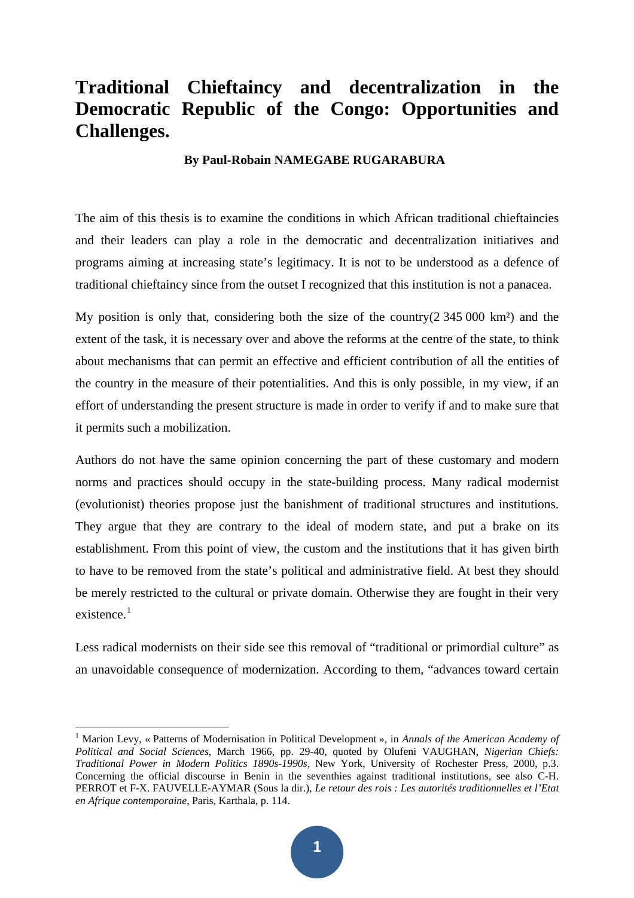# **Traditional Chieftaincy and decentralization in the Democratic Republic of the Congo: Opportunities and Challenges.**

### **By Paul-Robain NAMEGABE RUGARABURA**

The aim of this thesis is to examine the conditions in which African traditional chieftaincies and their leaders can play a role in the democratic and decentralization initiatives and programs aiming at increasing state's legitimacy. It is not to be understood as a defence of traditional chieftaincy since from the outset I recognized that this institution is not a panacea.

My position is only that, considering both the size of the country( $2\,345\,000\,$  km<sup>2</sup>) and the extent of the task, it is necessary over and above the reforms at the centre of the state, to think about mechanisms that can permit an effective and efficient contribution of all the entities of the country in the measure of their potentialities. And this is only possible, in my view, if an effort of understanding the present structure is made in order to verify if and to make sure that it permits such a mobilization.

Authors do not have the same opinion concerning the part of these customary and modern norms and practices should occupy in the state-building process. Many radical modernist (evolutionist) theories propose just the banishment of traditional structures and institutions. They argue that they are contrary to the ideal of modern state, and put a brake on its establishment. From this point of view, the custom and the institutions that it has given birth to have to be removed from the state's political and administrative field. At best they should be merely restricted to the cultural or private domain. Otherwise they are fought in their very existence $1$ 

Less radical modernists on their side see this removal of "traditional or primordial culture" as an unavoidable consequence of modernization. According to them, "advances toward certain

<span id="page-0-0"></span><sup>&</sup>lt;sup>1</sup> Marion Levy, « Patterns of Modernisation in Political Development », in *Annals of the American Academy of Political and Social Sciences*, March 1966, pp. 29-40, quoted by Olufeni VAUGHAN, *Nigerian Chiefs: Traditional Power in Modern Politics 1890s-1990s*, New York, University of Rochester Press, 2000, p.3. Concerning the official discourse in Benin in the seventhies against traditional institutions, see also C-H. PERROT et F-X. FAUVELLE-AYMAR (Sous la dir.), *Le retour des rois : Les autorités traditionnelles et l'Etat en Afrique contemporaine*, Paris, Karthala, p. 114.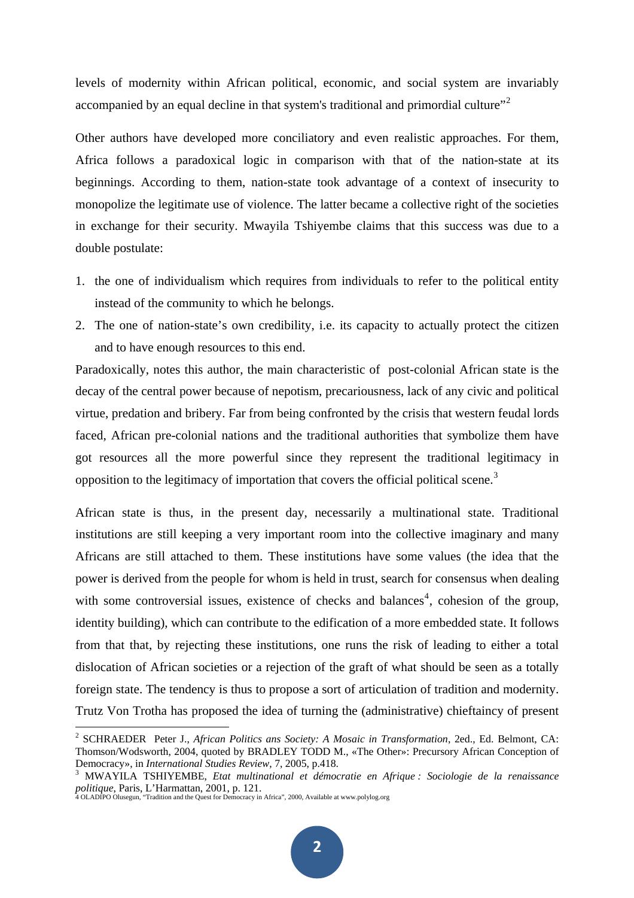levels of modernity within African political, economic, and social system are invariably accompanied by an equal decline in that system's traditional and primordial culture"<sup>[2](#page-1-0)</sup>

Other authors have developed more conciliatory and even realistic approaches. For them, Africa follows a paradoxical logic in comparison with that of the nation-state at its beginnings. According to them, nation-state took advantage of a context of insecurity to monopolize the legitimate use of violence. The latter became a collective right of the societies in exchange for their security. Mwayila Tshiyembe claims that this success was due to a double postulate:

- 1. the one of individualism which requires from individuals to refer to the political entity instead of the community to which he belongs.
- 2. The one of nation-state's own credibility, i.e. its capacity to actually protect the citizen and to have enough resources to this end.

Paradoxically, notes this author, the main characteristic of post-colonial African state is the decay of the central power because of nepotism, precariousness, lack of any civic and political virtue, predation and bribery. Far from being confronted by the crisis that western feudal lords faced, African pre-colonial nations and the traditional authorities that symbolize them have got resources all the more powerful since they represent the traditional legitimacy in opposition to the legitimacy of importation that covers the official political scene.<sup>[3](#page-1-1)</sup>

African state is thus, in the present day, necessarily a multinational state. Traditional institutions are still keeping a very important room into the collective imaginary and many Africans are still attached to them. These institutions have some values (the idea that the power is derived from the people for whom is held in trust, search for consensus when dealing with some controversial issues, existence of checks and balances<sup>[4](#page-1-2)</sup>, cohesion of the group, identity building), which can contribute to the edification of a more embedded state. It follows from that that, by rejecting these institutions, one runs the risk of leading to either a total dislocation of African societies or a rejection of the graft of what should be seen as a totally foreign state. The tendency is thus to propose a sort of articulation of tradition and modernity. Trutz Von Trotha has proposed the idea of turning the (administrative) chieftaincy of present

<span id="page-1-0"></span><sup>2</sup> SCHRAEDER Peter J., *African Politics ans Society: A Mosaic in Transformation*, 2ed., Ed. Belmont, CA: Thomson/Wodsworth, 2004, quoted by BRADLEY TODD M., «The Other»: Precursory African Conception of Democracy», in *International Studies Review*, 7, 2005, p.418.

<span id="page-1-2"></span><span id="page-1-1"></span>MWAYILA TSHIYEMBE, *Etat multinational et démocratie en Afrique : Sociologie de la renaissance politique*, Paris, L'Harmattan, 2001, p. 121. 4 OLADIPO Olusegun, "Tradition and the Quest for Democracy in Africa", 2000, Available at www.polylog.org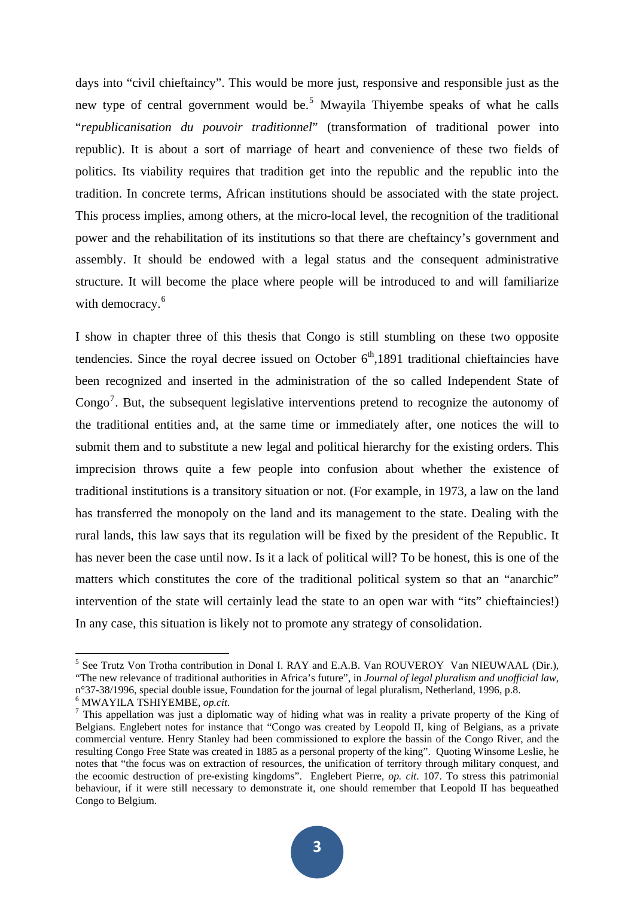days into "civil chieftaincy". This would be more just, responsive and responsible just as the new type of central government would be.<sup>[5](#page-2-0)</sup> Mwayila Thiyembe speaks of what he calls "*republicanisation du pouvoir traditionnel*" (transformation of traditional power into republic). It is about a sort of marriage of heart and convenience of these two fields of politics. Its viability requires that tradition get into the republic and the republic into the tradition. In concrete terms, African institutions should be associated with the state project. This process implies, among others, at the micro-local level, the recognition of the traditional power and the rehabilitation of its institutions so that there are cheftaincy's government and assembly. It should be endowed with a legal status and the consequent administrative structure. It will become the place where people will be introduced to and will familiarize with democracy.<sup>[6](#page-2-1)</sup>

I show in chapter three of this thesis that Congo is still stumbling on these two opposite tendencies. Since the royal decree issued on October  $6<sup>th</sup>$ ,1891 traditional chieftaincies have been recognized and inserted in the administration of the so called Independent State of Congo<sup>[7](#page-2-2)</sup>. But, the subsequent legislative interventions pretend to recognize the autonomy of the traditional entities and, at the same time or immediately after, one notices the will to submit them and to substitute a new legal and political hierarchy for the existing orders. This imprecision throws quite a few people into confusion about whether the existence of traditional institutions is a transitory situation or not. (For example, in 1973, a law on the land has transferred the monopoly on the land and its management to the state. Dealing with the rural lands, this law says that its regulation will be fixed by the president of the Republic. It has never been the case until now. Is it a lack of political will? To be honest, this is one of the matters which constitutes the core of the traditional political system so that an "anarchic" intervention of the state will certainly lead the state to an open war with "its" chieftaincies!) In any case, this situation is likely not to promote any strategy of consolidation.

<span id="page-2-0"></span><sup>&</sup>lt;sup>5</sup> See Trutz Von Trotha contribution in Donal I. RAY and E.A.B. Van ROUVEROY Van NIEUWAAL (Dir.), "The new relevance of traditional authorities in Africa's future", in *Journal of legal pluralism and unofficial law*, n°37-38/1996, special double issue, Foundation for the journal of legal pluralism, Netherland, 1996, p.8.  $^6$  MWAYILA TSHIYEMBE, *op.cit.* 

<span id="page-2-2"></span><span id="page-2-1"></span> $\frac{7}{1}$  This appellation was just a diplomatic way of hiding what was in reality a private property of the King of Belgians. Englebert notes for instance that "Congo was created by Leopold II, king of Belgians, as a private commercial venture. Henry Stanley had been commissioned to explore the bassin of the Congo River, and the resulting Congo Free State was created in 1885 as a personal property of the king". Quoting Winsome Leslie, he notes that "the focus was on extraction of resources, the unification of territory through military conquest, and the ecoomic destruction of pre-existing kingdoms". Englebert Pierre, *op. cit*. 107. To stress this patrimonial behaviour, if it were still necessary to demonstrate it, one should remember that Leopold II has bequeathed Congo to Belgium.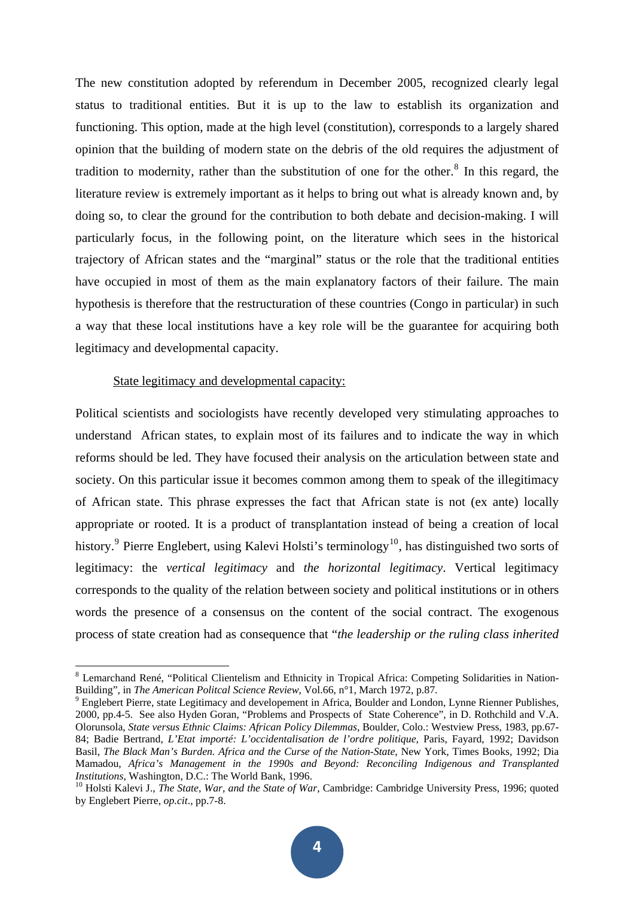The new constitution adopted by referendum in December 2005, recognized clearly legal status to traditional entities. But it is up to the law to establish its organization and functioning. This option, made at the high level (constitution), corresponds to a largely shared opinion that the building of modern state on the debris of the old requires the adjustment of tradition to modernity, rather than the substitution of one for the other. $8$  In this regard, the literature review is extremely important as it helps to bring out what is already known and, by doing so, to clear the ground for the contribution to both debate and decision-making. I will particularly focus, in the following point, on the literature which sees in the historical trajectory of African states and the "marginal" status or the role that the traditional entities have occupied in most of them as the main explanatory factors of their failure. The main hypothesis is therefore that the restructuration of these countries (Congo in particular) in such a way that these local institutions have a key role will be the guarantee for acquiring both legitimacy and developmental capacity.

#### State legitimacy and developmental capacity:

Political scientists and sociologists have recently developed very stimulating approaches to understand African states, to explain most of its failures and to indicate the way in which reforms should be led. They have focused their analysis on the articulation between state and society. On this particular issue it becomes common among them to speak of the illegitimacy of African state. This phrase expresses the fact that African state is not (ex ante) locally appropriate or rooted. It is a product of transplantation instead of being a creation of local history.<sup>[9](#page-3-1)</sup> Pierre Englebert, using Kalevi Holsti's terminology<sup>[10](#page-3-2)</sup>, has distinguished two sorts of legitimacy: the *vertical legitimacy* and *the horizontal legitimacy*. Vertical legitimacy corresponds to the quality of the relation between society and political institutions or in others words the presence of a consensus on the content of the social contract. The exogenous process of state creation had as consequence that "*the leadership or the ruling class inherited* 

<span id="page-3-0"></span><sup>&</sup>lt;sup>8</sup> Lemarchand René, "Political Clientelism and Ethnicity in Tropical Africa: Competing Solidarities in Nation-Building", in *The American Politcal Science Review*, Vol.66, n°1, March 1972, p.87.

<span id="page-3-1"></span><sup>&</sup>lt;sup>9</sup> Englebert Pierre, state Legitimacy and developement in Africa, Boulder and London, Lynne Rienner Publishes, 2000, pp.4-5. See also Hyden Goran, "Problems and Prospects of State Coherence", in D. Rothchild and V.A. Olorunsola, *State versus Ethnic Claims: African Policy Dilemmas*, Boulder, Colo.: Westview Press, 1983, pp.67- 84; Badie Bertrand, *L'Etat importé: L'occidentalisation de l'ordre politique*, Paris, Fayard, 1992; Davidson Basil, *The Black Man's Burden. Africa and the Curse of the Nation-State*, New York, Times Books, 1992; Dia Mamadou, *Africa's Management in the 1990s and Beyond: Reconciling Indigenous and Transplanted* 

<span id="page-3-2"></span><sup>&</sup>lt;sup>10</sup> Holsti Kalevi J., *The State, War, and the State of War*, Cambridge: Cambridge University Press, 1996; quoted by Englebert Pierre, *op.cit*., pp.7-8.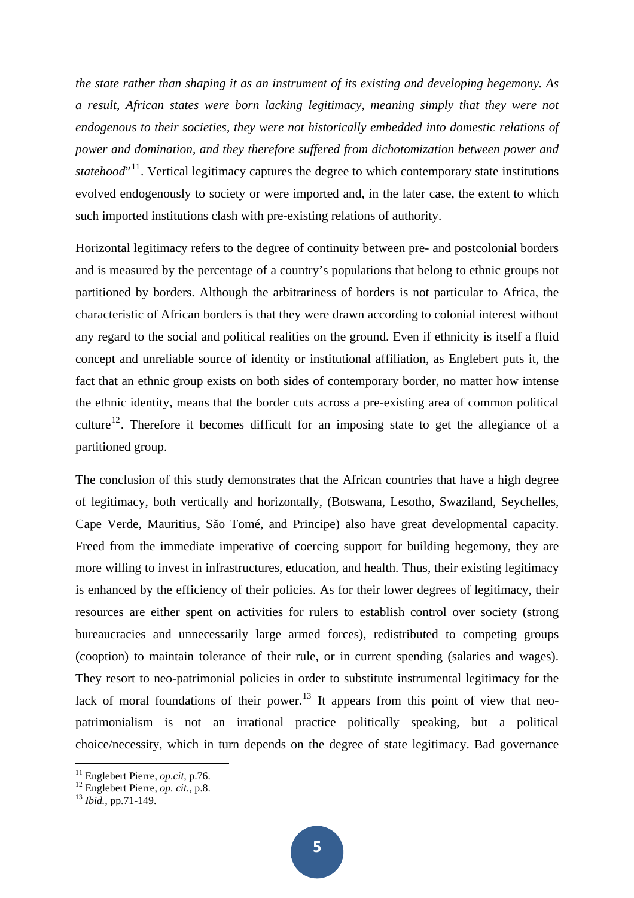*the state rather than shaping it as an instrument of its existing and developing hegemony. As a result, African states were born lacking legitimacy, meaning simply that they were not endogenous to their societies, they were not historically embedded into domestic relations of power and domination, and they therefore suffered from dichotomization between power and statehood*"<sup>[11](#page-4-0)</sup>. Vertical legitimacy captures the degree to which contemporary state institutions evolved endogenously to society or were imported and, in the later case, the extent to which such imported institutions clash with pre-existing relations of authority.

Horizontal legitimacy refers to the degree of continuity between pre- and postcolonial borders and is measured by the percentage of a country's populations that belong to ethnic groups not partitioned by borders. Although the arbitrariness of borders is not particular to Africa, the characteristic of African borders is that they were drawn according to colonial interest without any regard to the social and political realities on the ground. Even if ethnicity is itself a fluid concept and unreliable source of identity or institutional affiliation, as Englebert puts it, the fact that an ethnic group exists on both sides of contemporary border, no matter how intense the ethnic identity, means that the border cuts across a pre-existing area of common political culture<sup>[12](#page-4-1)</sup>. Therefore it becomes difficult for an imposing state to get the allegiance of a partitioned group.

The conclusion of this study demonstrates that the African countries that have a high degree of legitimacy, both vertically and horizontally, (Botswana, Lesotho, Swaziland, Seychelles, Cape Verde, Mauritius, São Tomé, and Principe) also have great developmental capacity. Freed from the immediate imperative of coercing support for building hegemony, they are more willing to invest in infrastructures, education, and health. Thus, their existing legitimacy is enhanced by the efficiency of their policies. As for their lower degrees of legitimacy, their resources are either spent on activities for rulers to establish control over society (strong bureaucracies and unnecessarily large armed forces), redistributed to competing groups (cooption) to maintain tolerance of their rule, or in current spending (salaries and wages). They resort to neo-patrimonial policies in order to substitute instrumental legitimacy for the lack of moral foundations of their power.<sup>[13](#page-4-2)</sup> It appears from this point of view that neopatrimonialism is not an irrational practice politically speaking, but a political choice/necessity, which in turn depends on the degree of state legitimacy. Bad governance

<span id="page-4-1"></span><span id="page-4-0"></span><sup>11</sup> Englebert Pierre, *op.cit,* p.76. 12 Englebert Pierre, *op. cit.,* p.8. 13 *Ibid.,* pp.71-149.

<span id="page-4-2"></span>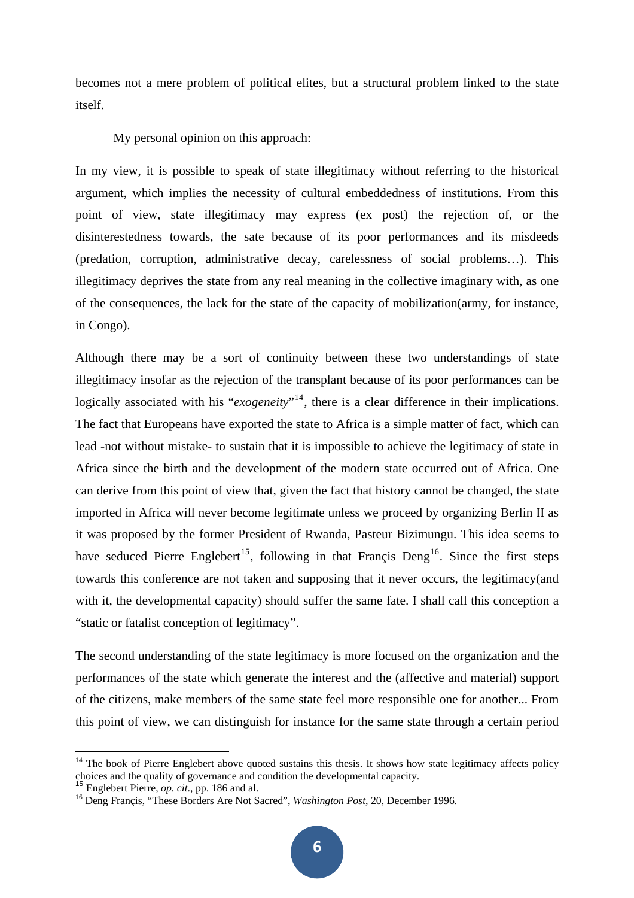becomes not a mere problem of political elites, but a structural problem linked to the state itself.

#### My personal opinion on this approach:

In my view, it is possible to speak of state illegitimacy without referring to the historical argument, which implies the necessity of cultural embeddedness of institutions. From this point of view, state illegitimacy may express (ex post) the rejection of, or the disinterestedness towards, the sate because of its poor performances and its misdeeds (predation, corruption, administrative decay, carelessness of social problems…). This illegitimacy deprives the state from any real meaning in the collective imaginary with, as one of the consequences, the lack for the state of the capacity of mobilization(army, for instance, in Congo).

Although there may be a sort of continuity between these two understandings of state illegitimacy insofar as the rejection of the transplant because of its poor performances can be logically associated with his "*exogeneity*"<sup>[14](#page-5-0)</sup>, there is a clear difference in their implications. The fact that Europeans have exported the state to Africa is a simple matter of fact, which can lead -not without mistake- to sustain that it is impossible to achieve the legitimacy of state in Africa since the birth and the development of the modern state occurred out of Africa. One can derive from this point of view that, given the fact that history cannot be changed, the state imported in Africa will never become legitimate unless we proceed by organizing Berlin II as it was proposed by the former President of Rwanda, Pasteur Bizimungu. This idea seems to have seduced Pierre Englebert<sup>[15](#page-5-1)</sup>, following in that Francis Deng<sup>[16](#page-5-2)</sup>. Since the first steps towards this conference are not taken and supposing that it never occurs, the legitimacy(and with it, the developmental capacity) should suffer the same fate. I shall call this conception a "static or fatalist conception of legitimacy".

The second understanding of the state legitimacy is more focused on the organization and the performances of the state which generate the interest and the (affective and material) support of the citizens, make members of the same state feel more responsible one for another... From this point of view, we can distinguish for instance for the same state through a certain period

<span id="page-5-0"></span> $14$  The book of Pierre Englebert above quoted sustains this thesis. It shows how state legitimacy affects policy choices and the quality of governance and condition the developmental capacity.<br><sup>15</sup> Englebert Pierre, *op.* cit., pp. 186 and al.

<span id="page-5-1"></span>

<span id="page-5-2"></span><sup>&</sup>lt;sup>16</sup> Deng Francis, "These Borders Are Not Sacred", *Washington Post*, 20, December 1996.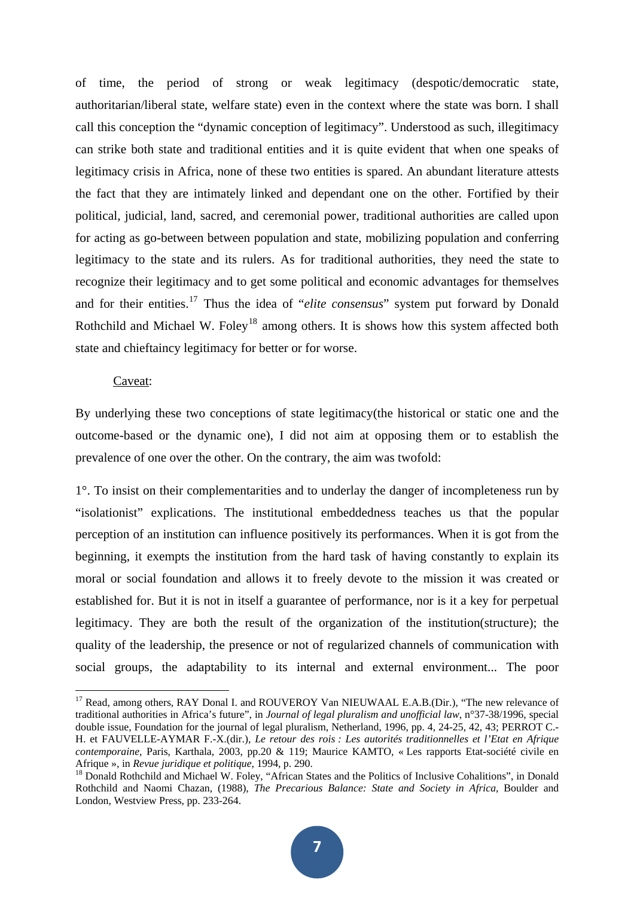of time, the period of strong or weak legitimacy (despotic/democratic state, authoritarian/liberal state, welfare state) even in the context where the state was born. I shall call this conception the "dynamic conception of legitimacy". Understood as such, illegitimacy can strike both state and traditional entities and it is quite evident that when one speaks of legitimacy crisis in Africa, none of these two entities is spared. An abundant literature attests the fact that they are intimately linked and dependant one on the other. Fortified by their political, judicial, land, sacred, and ceremonial power, traditional authorities are called upon for acting as go-between between population and state, mobilizing population and conferring legitimacy to the state and its rulers. As for traditional authorities, they need the state to recognize their legitimacy and to get some political and economic advantages for themselves and for their entities.[17](#page-6-0) Thus the idea of "*elite consensus*" system put forward by Donald Rothchild and Michael W. Foley<sup>[18](#page-6-1)</sup> among others. It is shows how this system affected both state and chieftaincy legitimacy for better or for worse.

# Caveat:

By underlying these two conceptions of state legitimacy(the historical or static one and the outcome-based or the dynamic one), I did not aim at opposing them or to establish the prevalence of one over the other. On the contrary, the aim was twofold:

1°. To insist on their complementarities and to underlay the danger of incompleteness run by "isolationist" explications. The institutional embeddedness teaches us that the popular perception of an institution can influence positively its performances. When it is got from the beginning, it exempts the institution from the hard task of having constantly to explain its moral or social foundation and allows it to freely devote to the mission it was created or established for. But it is not in itself a guarantee of performance, nor is it a key for perpetual legitimacy. They are both the result of the organization of the institution(structure); the quality of the leadership, the presence or not of regularized channels of communication with social groups, the adaptability to its internal and external environment... The poor

<span id="page-6-0"></span><sup>&</sup>lt;sup>17</sup> Read, among others, RAY Donal I. and ROUVEROY Van NIEUWAAL E.A.B.(Dir.), "The new relevance of traditional authorities in Africa's future", in *Journal of legal pluralism and unofficial law*, n°37-38/1996, special double issue, Foundation for the journal of legal pluralism, Netherland, 1996, pp. 4, 24-25, 42, 43; PERROT C.- H. et FAUVELLE-AYMAR F.-X.(dir.), *Le retour des rois : Les autorités traditionnelles et l'Etat en Afrique contemporaine*, Paris, Karthala, 2003, pp.20 & 119; Maurice KAMTO, « Les rapports Etat-société civile en Afrique », in *Revue juridique et politique*, 1994, p. 290.<br><sup>18</sup> Donald Rothchild and Michael W. Foley, "African States and the Politics of Inclusive Cohalitions", in Donald

<span id="page-6-1"></span>Rothchild and Naomi Chazan, (1988), *The Precarious Balance: State and Society in Africa*, Boulder and London, Westview Press, pp. 233-264.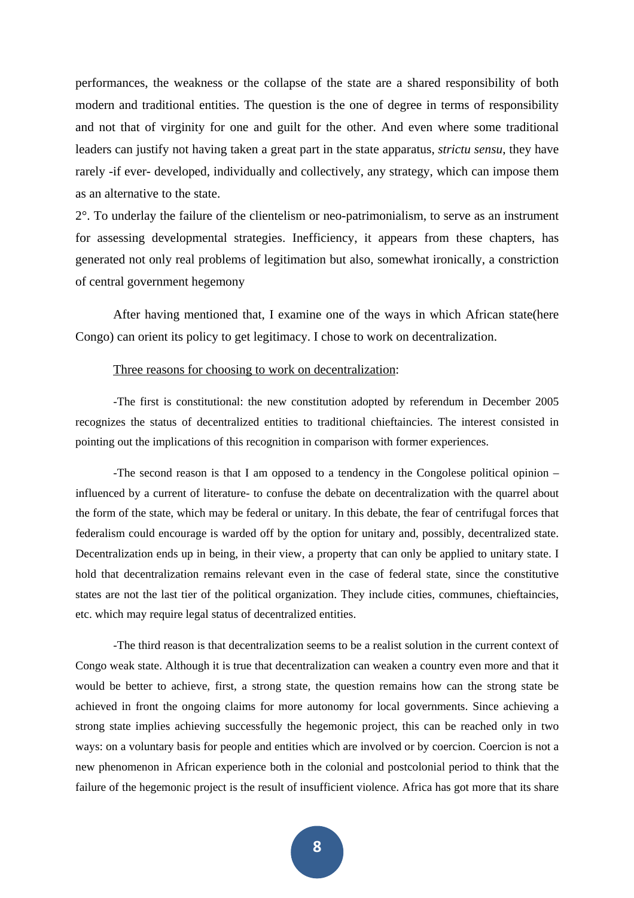performances, the weakness or the collapse of the state are a shared responsibility of both modern and traditional entities. The question is the one of degree in terms of responsibility and not that of virginity for one and guilt for the other. And even where some traditional leaders can justify not having taken a great part in the state apparatus, *strictu sensu*, they have rarely -if ever- developed, individually and collectively, any strategy, which can impose them as an alternative to the state.

2°. To underlay the failure of the clientelism or neo-patrimonialism, to serve as an instrument for assessing developmental strategies. Inefficiency, it appears from these chapters, has generated not only real problems of legitimation but also, somewhat ironically, a constriction of central government hegemony

After having mentioned that, I examine one of the ways in which African state(here Congo) can orient its policy to get legitimacy. I chose to work on decentralization.

## Three reasons for choosing to work on decentralization:

-The first is constitutional: the new constitution adopted by referendum in December 2005 recognizes the status of decentralized entities to traditional chieftaincies. The interest consisted in pointing out the implications of this recognition in comparison with former experiences.

-The second reason is that I am opposed to a tendency in the Congolese political opinion – influenced by a current of literature- to confuse the debate on decentralization with the quarrel about the form of the state, which may be federal or unitary. In this debate, the fear of centrifugal forces that federalism could encourage is warded off by the option for unitary and, possibly, decentralized state. Decentralization ends up in being, in their view, a property that can only be applied to unitary state. I hold that decentralization remains relevant even in the case of federal state, since the constitutive states are not the last tier of the political organization. They include cities, communes, chieftaincies, etc. which may require legal status of decentralized entities.

-The third reason is that decentralization seems to be a realist solution in the current context of Congo weak state. Although it is true that decentralization can weaken a country even more and that it would be better to achieve, first, a strong state, the question remains how can the strong state be achieved in front the ongoing claims for more autonomy for local governments. Since achieving a strong state implies achieving successfully the hegemonic project, this can be reached only in two ways: on a voluntary basis for people and entities which are involved or by coercion. Coercion is not a new phenomenon in African experience both in the colonial and postcolonial period to think that the failure of the hegemonic project is the result of insufficient violence. Africa has got more that its share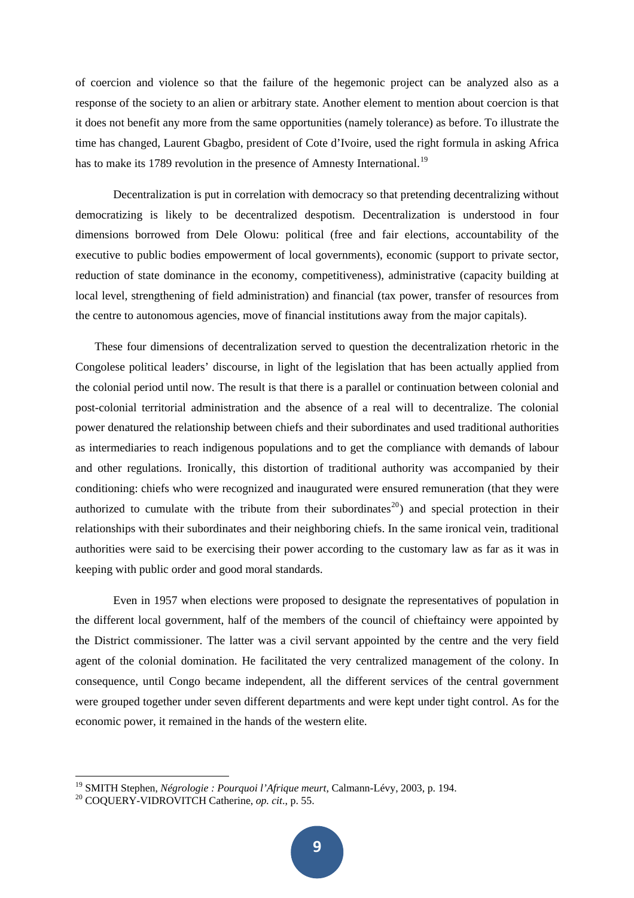of coercion and violence so that the failure of the hegemonic project can be analyzed also as a response of the society to an alien or arbitrary state. Another element to mention about coercion is that it does not benefit any more from the same opportunities (namely tolerance) as before. To illustrate the time has changed, Laurent Gbagbo, president of Cote d'Ivoire, used the right formula in asking Africa has to make its 1789 revolution in the presence of Amnesty International.<sup>[19](#page-8-0)</sup>

Decentralization is put in correlation with democracy so that pretending decentralizing without democratizing is likely to be decentralized despotism. Decentralization is understood in four dimensions borrowed from Dele Olowu: political (free and fair elections, accountability of the executive to public bodies empowerment of local governments), economic (support to private sector, reduction of state dominance in the economy, competitiveness), administrative (capacity building at local level, strengthening of field administration) and financial (tax power, transfer of resources from the centre to autonomous agencies, move of financial institutions away from the major capitals).

These four dimensions of decentralization served to question the decentralization rhetoric in the Congolese political leaders' discourse, in light of the legislation that has been actually applied from the colonial period until now. The result is that there is a parallel or continuation between colonial and post-colonial territorial administration and the absence of a real will to decentralize. The colonial power denatured the relationship between chiefs and their subordinates and used traditional authorities as intermediaries to reach indigenous populations and to get the compliance with demands of labour and other regulations. Ironically, this distortion of traditional authority was accompanied by their conditioning: chiefs who were recognized and inaugurated were ensured remuneration (that they were authorized to cumulate with the tribute from their subordinates<sup>[20](#page-8-1)</sup>) and special protection in their relationships with their subordinates and their neighboring chiefs. In the same ironical vein, traditional authorities were said to be exercising their power according to the customary law as far as it was in keeping with public order and good moral standards.

Even in 1957 when elections were proposed to designate the representatives of population in the different local government, half of the members of the council of chieftaincy were appointed by the District commissioner. The latter was a civil servant appointed by the centre and the very field agent of the colonial domination. He facilitated the very centralized management of the colony. In consequence, until Congo became independent, all the different services of the central government were grouped together under seven different departments and were kept under tight control. As for the economic power, it remained in the hands of the western elite.

<span id="page-8-0"></span><sup>&</sup>lt;sup>19</sup> SMITH Stephen, *Négrologie : Pourquoi l'Afrique meurt*, Calmann-Lévy, 2003, p. 194.<br><sup>20</sup> COQUERY-VIDROVITCH Catherine, *op. cit.*, p. 55.

<span id="page-8-1"></span>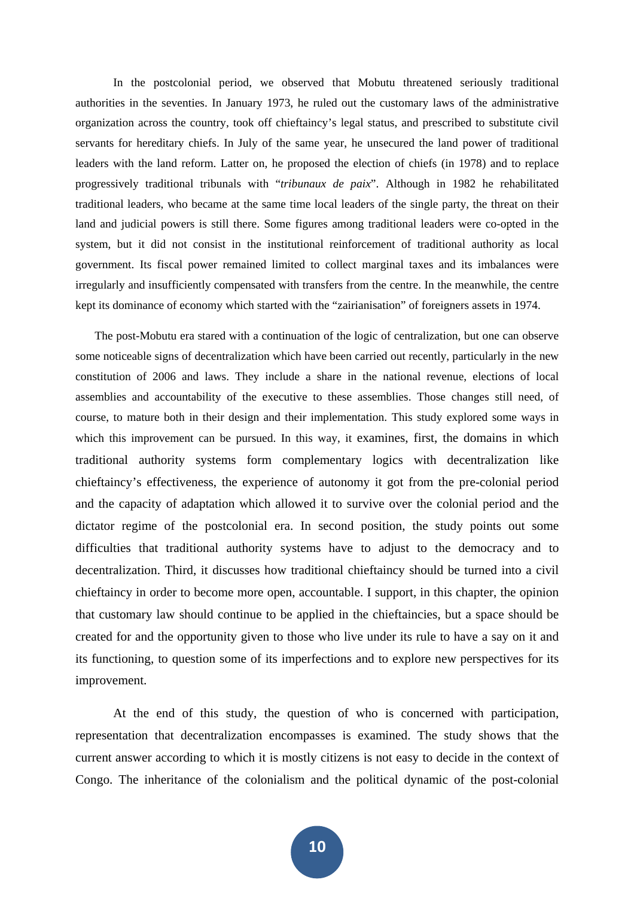In the postcolonial period, we observed that Mobutu threatened seriously traditional authorities in the seventies. In January 1973, he ruled out the customary laws of the administrative organization across the country, took off chieftaincy's legal status, and prescribed to substitute civil servants for hereditary chiefs. In July of the same year, he unsecured the land power of traditional leaders with the land reform. Latter on, he proposed the election of chiefs (in 1978) and to replace progressively traditional tribunals with "*tribunaux de paix*". Although in 1982 he rehabilitated traditional leaders, who became at the same time local leaders of the single party, the threat on their land and judicial powers is still there. Some figures among traditional leaders were co-opted in the system, but it did not consist in the institutional reinforcement of traditional authority as local government. Its fiscal power remained limited to collect marginal taxes and its imbalances were irregularly and insufficiently compensated with transfers from the centre. In the meanwhile, the centre kept its dominance of economy which started with the "zairianisation" of foreigners assets in 1974.

The post-Mobutu era stared with a continuation of the logic of centralization, but one can observe some noticeable signs of decentralization which have been carried out recently, particularly in the new constitution of 2006 and laws. They include a share in the national revenue, elections of local assemblies and accountability of the executive to these assemblies. Those changes still need, of course, to mature both in their design and their implementation. This study explored some ways in which this improvement can be pursued. In this way, it examines, first, the domains in which traditional authority systems form complementary logics with decentralization like chieftaincy's effectiveness, the experience of autonomy it got from the pre-colonial period and the capacity of adaptation which allowed it to survive over the colonial period and the dictator regime of the postcolonial era. In second position, the study points out some difficulties that traditional authority systems have to adjust to the democracy and to decentralization. Third, it discusses how traditional chieftaincy should be turned into a civil chieftaincy in order to become more open, accountable. I support, in this chapter, the opinion that customary law should continue to be applied in the chieftaincies, but a space should be created for and the opportunity given to those who live under its rule to have a say on it and its functioning, to question some of its imperfections and to explore new perspectives for its improvement.

At the end of this study, the question of who is concerned with participation, representation that decentralization encompasses is examined. The study shows that the current answer according to which it is mostly citizens is not easy to decide in the context of Congo. The inheritance of the colonialism and the political dynamic of the post-colonial